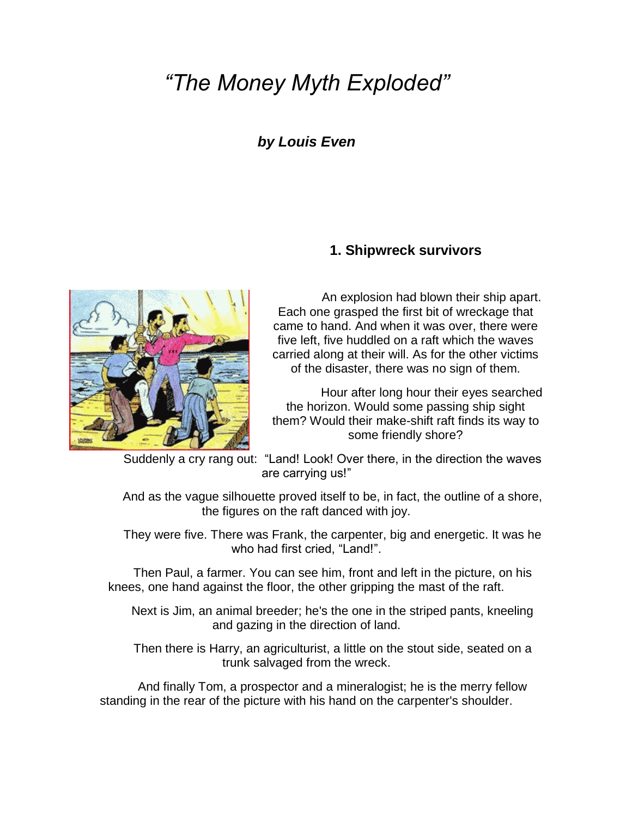# *"The Money Myth Exploded"*

# *by Louis Even*

#### **1. Shipwreck survivors**



An explosion had blown their ship apart. Each one grasped the first bit of wreckage that came to hand. And when it was over, there were five left, five huddled on a raft which the waves carried along at their will. As for the other victims of the disaster, there was no sign of them.

Hour after long hour their eyes searched the horizon. Would some passing ship sight them? Would their make-shift raft finds its way to some friendly shore?

Suddenly a cry rang out: "Land! Look! Over there, in the direction the waves are carrying us!"

And as the vague silhouette proved itself to be, in fact, the outline of a shore, the figures on the raft danced with joy.

They were five. There was Frank, the carpenter, big and energetic. It was he who had first cried, "Land!".

Then Paul, a farmer. You can see him, front and left in the picture, on his knees, one hand against the floor, the other gripping the mast of the raft.

Next is Jim, an animal breeder; he's the one in the striped pants, kneeling and gazing in the direction of land.

Then there is Harry, an agriculturist, a little on the stout side, seated on a trunk salvaged from the wreck.

And finally Tom, a prospector and a mineralogist; he is the merry fellow standing in the rear of the picture with his hand on the carpenter's shoulder.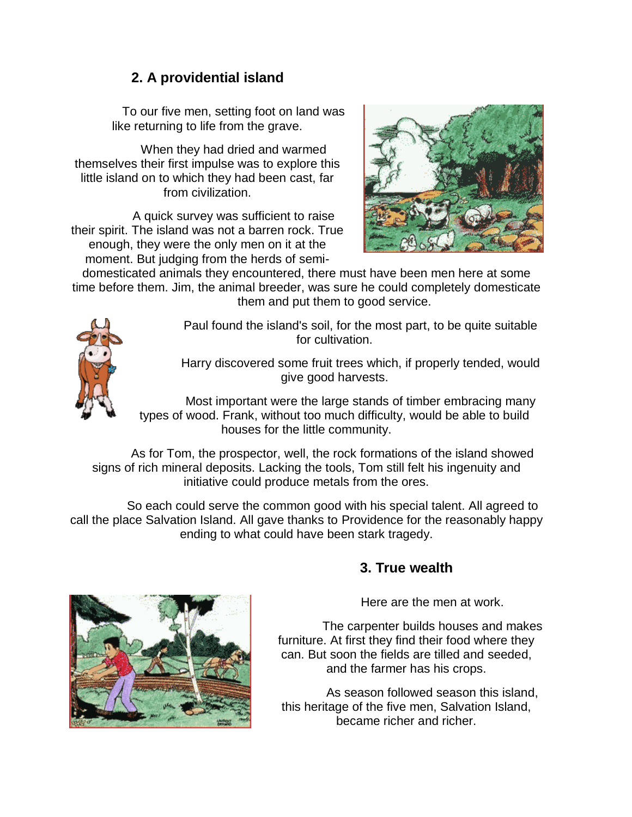# **2. A providential island**

To our five men, setting foot on land was like returning to life from the grave.

When they had dried and warmed themselves their first impulse was to explore this little island on to which they had been cast, far from civilization.

A quick survey was sufficient to raise their spirit. The island was not a barren rock. True enough, they were the only men on it at the moment. But judging from the herds of semi-



domesticated animals they encountered, there must have been men here at some time before them. Jim, the animal breeder, was sure he could completely domesticate them and put them to good service.



Paul found the island's soil, for the most part, to be quite suitable for cultivation.

Harry discovered some fruit trees which, if properly tended, would give good harvests.

Most important were the large stands of timber embracing many types of wood. Frank, without too much difficulty, would be able to build houses for the little community.

As for Tom, the prospector, well, the rock formations of the island showed signs of rich mineral deposits. Lacking the tools, Tom still felt his ingenuity and initiative could produce metals from the ores.

So each could serve the common good with his special talent. All agreed to call the place Salvation Island. All gave thanks to Providence for the reasonably happy ending to what could have been stark tragedy.



#### **3. True wealth**

Here are the men at work.

The carpenter builds houses and makes furniture. At first they find their food where they can. But soon the fields are tilled and seeded, and the farmer has his crops.

As season followed season this island, this heritage of the five men, Salvation Island, became richer and richer.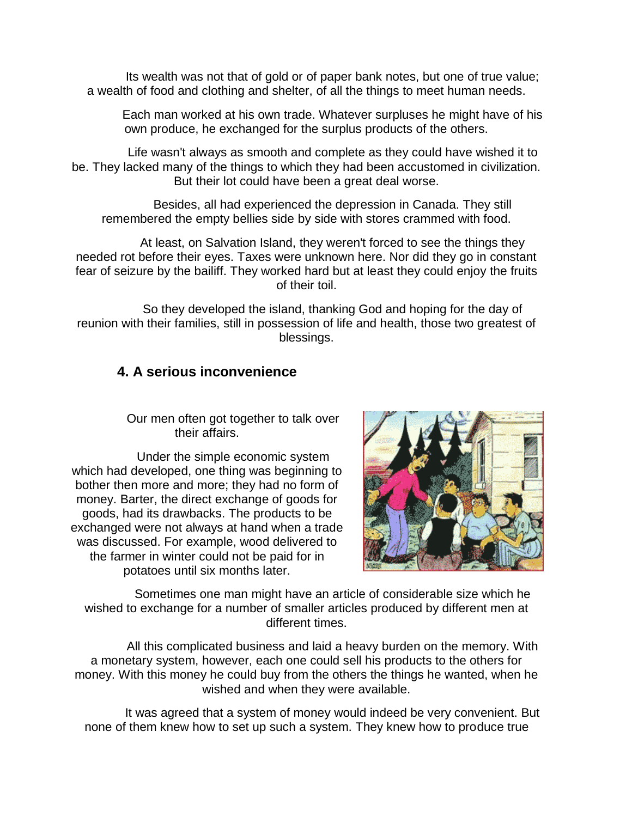Its wealth was not that of gold or of paper bank notes, but one of true value; a wealth of food and clothing and shelter, of all the things to meet human needs.

Each man worked at his own trade. Whatever surpluses he might have of his own produce, he exchanged for the surplus products of the others.

Life wasn't always as smooth and complete as they could have wished it to be. They lacked many of the things to which they had been accustomed in civilization. But their lot could have been a great deal worse.

Besides, all had experienced the depression in Canada. They still remembered the empty bellies side by side with stores crammed with food.

At least, on Salvation Island, they weren't forced to see the things they needed rot before their eyes. Taxes were unknown here. Nor did they go in constant fear of seizure by the bailiff. They worked hard but at least they could enjoy the fruits of their toil.

So they developed the island, thanking God and hoping for the day of reunion with their families, still in possession of life and health, those two greatest of blessings.

#### **4. A serious inconvenience**

Our men often got together to talk over their affairs.

Under the simple economic system which had developed, one thing was beginning to bother then more and more; they had no form of money. Barter, the direct exchange of goods for goods, had its drawbacks. The products to be exchanged were not always at hand when a trade was discussed. For example, wood delivered to the farmer in winter could not be paid for in potatoes until six months later.



Sometimes one man might have an article of considerable size which he wished to exchange for a number of smaller articles produced by different men at different times.

All this complicated business and laid a heavy burden on the memory. With a monetary system, however, each one could sell his products to the others for money. With this money he could buy from the others the things he wanted, when he wished and when they were available.

It was agreed that a system of money would indeed be very convenient. But none of them knew how to set up such a system. They knew how to produce true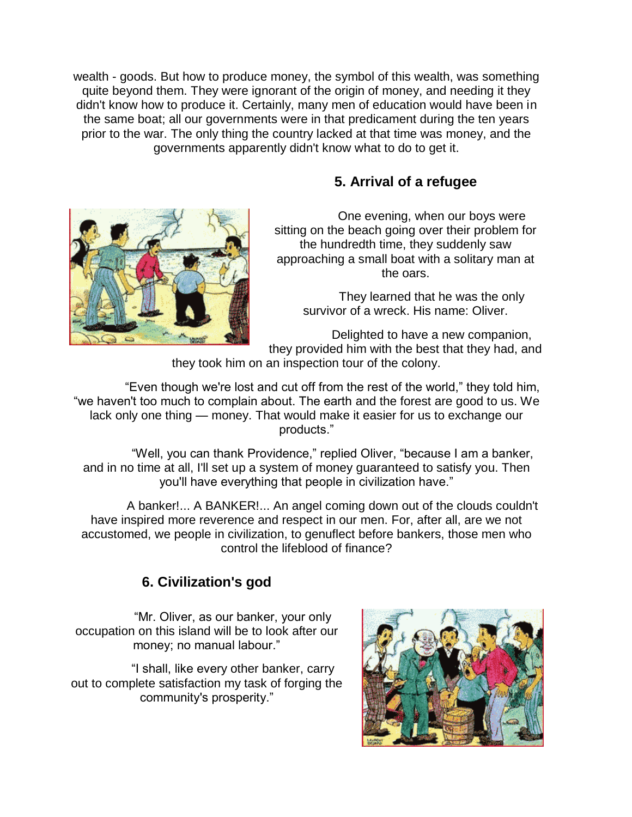wealth - goods. But how to produce money, the symbol of this wealth, was something quite beyond them. They were ignorant of the origin of money, and needing it they didn't know how to produce it. Certainly, many men of education would have been in the same boat; all our governments were in that predicament during the ten years prior to the war. The only thing the country lacked at that time was money, and the governments apparently didn't know what to do to get it.

# **5. Arrival of a refugee**

One evening, when our boys were sitting on the beach going over their problem for the hundredth time, they suddenly saw approaching a small boat with a solitary man at the oars.

> They learned that he was the only survivor of a wreck. His name: Oliver.

Delighted to have a new companion, they provided him with the best that they had, and

they took him on an inspection tour of the colony.

"Even though we're lost and cut off from the rest of the world," they told him, "we haven't too much to complain about. The earth and the forest are good to us. We lack only one thing — money. That would make it easier for us to exchange our products."

"Well, you can thank Providence," replied Oliver, "because I am a banker, and in no time at all, I'll set up a system of money guaranteed to satisfy you. Then you'll have everything that people in civilization have."

A banker!... A BANKER!... An angel coming down out of the clouds couldn't have inspired more reverence and respect in our men. For, after all, are we not accustomed, we people in civilization, to genuflect before bankers, those men who control the lifeblood of finance?

# **6. Civilization's god**

"Mr. Oliver, as our banker, your only occupation on this island will be to look after our money; no manual labour."

"I shall, like every other banker, carry out to complete satisfaction my task of forging the community's prosperity."



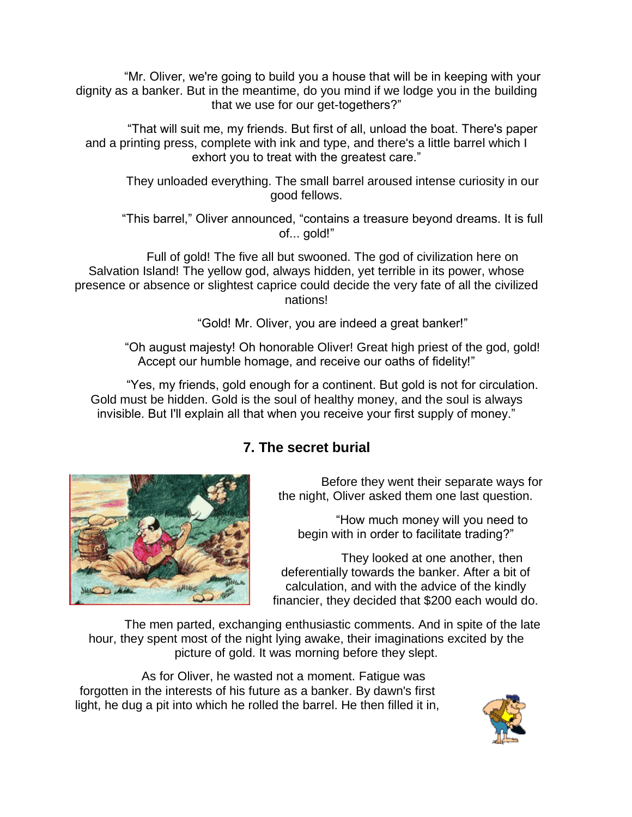"Mr. Oliver, we're going to build you a house that will be in keeping with your dignity as a banker. But in the meantime, do you mind if we lodge you in the building that we use for our get-togethers?"

―That will suit me, my friends. But first of all, unload the boat. There's paper and a printing press, complete with ink and type, and there's a little barrel which I exhort you to treat with the greatest care."

They unloaded everything. The small barrel aroused intense curiosity in our good fellows.

"This barrel," Oliver announced, "contains a treasure beyond dreams. It is full of... gold!"

Full of gold! The five all but swooned. The god of civilization here on Salvation Island! The yellow god, always hidden, yet terrible in its power, whose presence or absence or slightest caprice could decide the very fate of all the civilized nations!

"Gold! Mr. Oliver, you are indeed a great banker!"

"Oh august majesty! Oh honorable Oliver! Great high priest of the god, gold! Accept our humble homage, and receive our oaths of fidelity!"

"Yes, my friends, gold enough for a continent. But gold is not for circulation. Gold must be hidden. Gold is the soul of healthy money, and the soul is always invisible. But I'll explain all that when you receive your first supply of money."

# **7. The secret burial**



Before they went their separate ways for the night, Oliver asked them one last question.

"How much money will you need to begin with in order to facilitate trading?"

They looked at one another, then deferentially towards the banker. After a bit of calculation, and with the advice of the kindly financier, they decided that \$200 each would do.

The men parted, exchanging enthusiastic comments. And in spite of the late hour, they spent most of the night lying awake, their imaginations excited by the picture of gold. It was morning before they slept.

As for Oliver, he wasted not a moment. Fatigue was forgotten in the interests of his future as a banker. By dawn's first light, he dug a pit into which he rolled the barrel. He then filled it in,

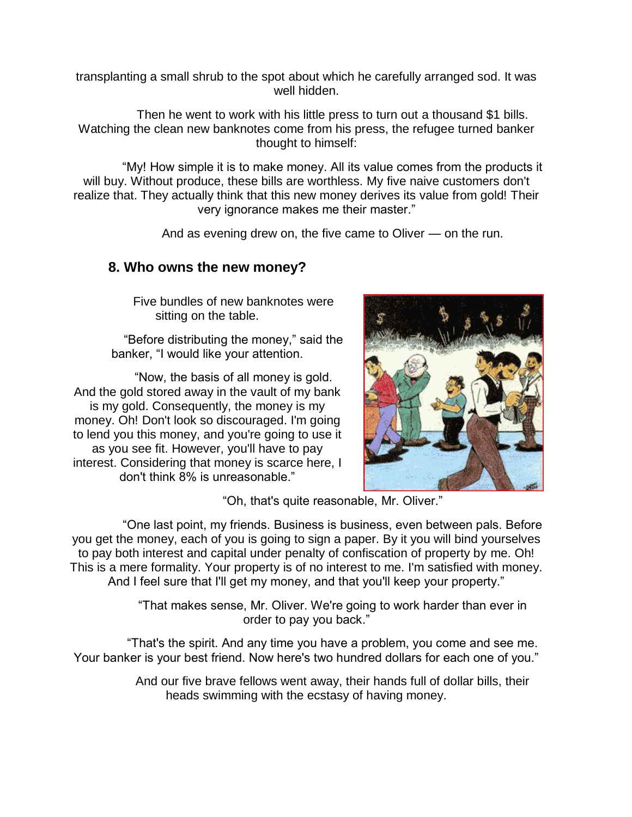transplanting a small shrub to the spot about which he carefully arranged sod. It was well hidden.

Then he went to work with his little press to turn out a thousand \$1 bills. Watching the clean new banknotes come from his press, the refugee turned banker thought to himself:

―My! How simple it is to make money. All its value comes from the products it will buy. Without produce, these bills are worthless. My five naive customers don't realize that. They actually think that this new money derives its value from gold! Their very ignorance makes me their master."

And as evening drew on, the five came to Oliver — on the run.

#### **8. Who owns the new money?**

Five bundles of new banknotes were sitting on the table.

"Before distributing the money," said the banker, "I would like your attention.

"Now, the basis of all money is gold. And the gold stored away in the vault of my bank is my gold. Consequently, the money is my money. Oh! Don't look so discouraged. I'm going to lend you this money, and you're going to use it as you see fit. However, you'll have to pay interest. Considering that money is scarce here, I don't think 8% is unreasonable."



"Oh, that's quite reasonable, Mr. Oliver."

―One last point, my friends. Business is business, even between pals. Before you get the money, each of you is going to sign a paper. By it you will bind yourselves to pay both interest and capital under penalty of confiscation of property by me. Oh! This is a mere formality. Your property is of no interest to me. I'm satisfied with money. And I feel sure that I'll get my money, and that you'll keep your property."

> ―That makes sense, Mr. Oliver. We're going to work harder than ever in order to pay you back."

―That's the spirit. And any time you have a problem, you come and see me. Your banker is your best friend. Now here's two hundred dollars for each one of you."

> And our five brave fellows went away, their hands full of dollar bills, their heads swimming with the ecstasy of having money.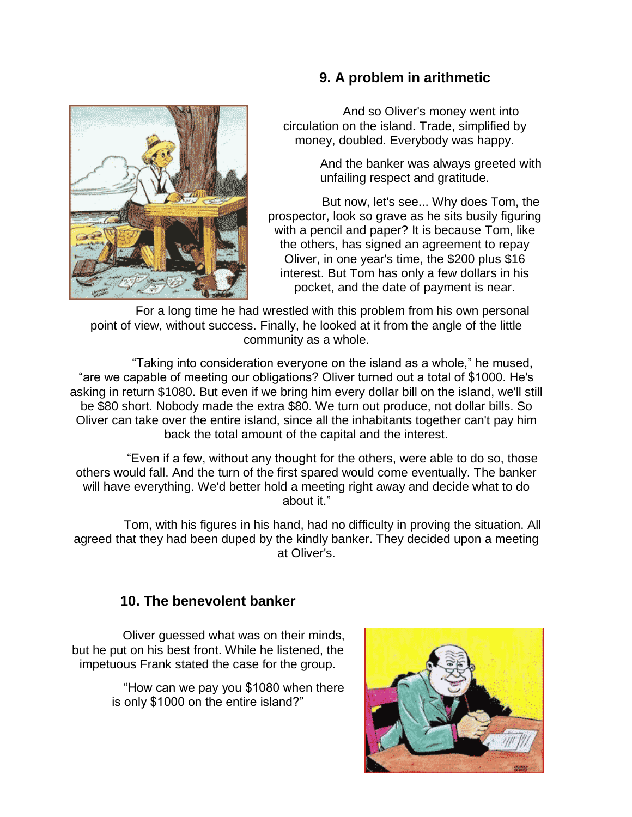# **9. A problem in arithmetic**

And so Oliver's money went into circulation on the island. Trade, simplified by money, doubled. Everybody was happy.

> And the banker was always greeted with unfailing respect and gratitude.

But now, let's see... Why does Tom, the prospector, look so grave as he sits busily figuring with a pencil and paper? It is because Tom, like the others, has signed an agreement to repay Oliver, in one year's time, the \$200 plus \$16 interest. But Tom has only a few dollars in his pocket, and the date of payment is near.

For a long time he had wrestled with this problem from his own personal point of view, without success. Finally, he looked at it from the angle of the little community as a whole.

"Taking into consideration everyone on the island as a whole," he mused, "are we capable of meeting our obligations? Oliver turned out a total of \$1000. He's asking in return \$1080. But even if we bring him every dollar bill on the island, we'll still be \$80 short. Nobody made the extra \$80. We turn out produce, not dollar bills. So Oliver can take over the entire island, since all the inhabitants together can't pay him back the total amount of the capital and the interest.

―Even if a few, without any thought for the others, were able to do so, those others would fall. And the turn of the first spared would come eventually. The banker will have everything. We'd better hold a meeting right away and decide what to do about it."

Tom, with his figures in his hand, had no difficulty in proving the situation. All agreed that they had been duped by the kindly banker. They decided upon a meeting at Oliver's.

# **10. The benevolent banker**

Oliver guessed what was on their minds, but he put on his best front. While he listened, the impetuous Frank stated the case for the group.

> ―How can we pay you \$1080 when there is only \$1000 on the entire island?"

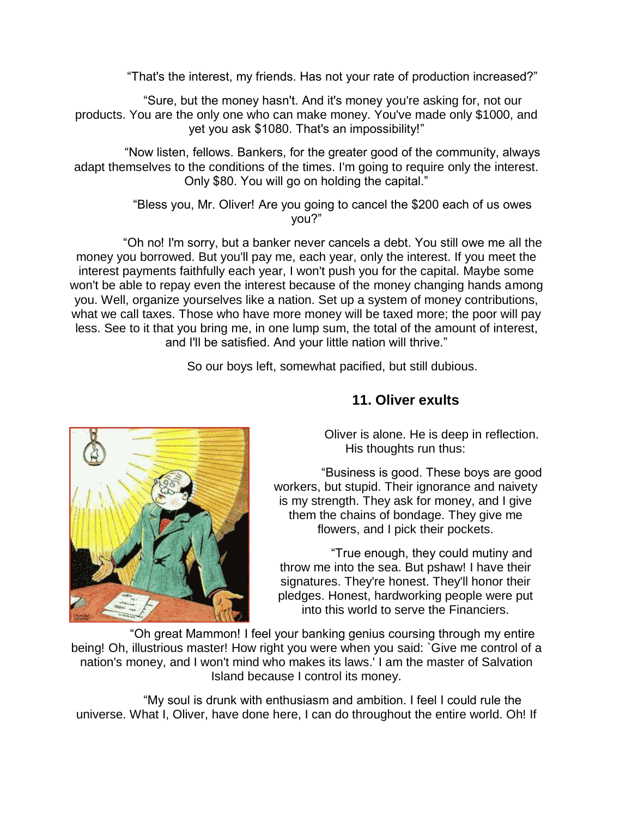"That's the interest, my friends. Has not your rate of production increased?"

―Sure, but the money hasn't. And it's money you're asking for, not our products. You are the only one who can make money. You've made only \$1000, and yet you ask \$1080. That's an impossibility!"

"Now listen, fellows. Bankers, for the greater good of the community, always adapt themselves to the conditions of the times. I'm going to require only the interest. Only \$80. You will go on holding the capital."

> "Bless you, Mr. Oliver! Are you going to cancel the \$200 each of us owes vou?"

―Oh no! I'm sorry, but a banker never cancels a debt. You still owe me all the money you borrowed. But you'll pay me, each year, only the interest. If you meet the interest payments faithfully each year, I won't push you for the capital. Maybe some won't be able to repay even the interest because of the money changing hands among you. Well, organize yourselves like a nation. Set up a system of money contributions, what we call taxes. Those who have more money will be taxed more; the poor will pay less. See to it that you bring me, in one lump sum, the total of the amount of interest, and I'll be satisfied. And your little nation will thrive."

So our boys left, somewhat pacified, but still dubious.



# **11. Oliver exults**

Oliver is alone. He is deep in reflection. His thoughts run thus:

―Business is good. These boys are good workers, but stupid. Their ignorance and naivety is my strength. They ask for money, and I give them the chains of bondage. They give me flowers, and I pick their pockets.

―True enough, they could mutiny and throw me into the sea. But pshaw! I have their signatures. They're honest. They'll honor their pledges. Honest, hardworking people were put into this world to serve the Financiers.

―Oh great Mammon! I feel your banking genius coursing through my entire being! Oh, illustrious master! How right you were when you said: `Give me control of a nation's money, and I won't mind who makes its laws.' I am the master of Salvation Island because I control its money.

"My soul is drunk with enthusiasm and ambition. I feel I could rule the universe. What I, Oliver, have done here, I can do throughout the entire world. Oh! If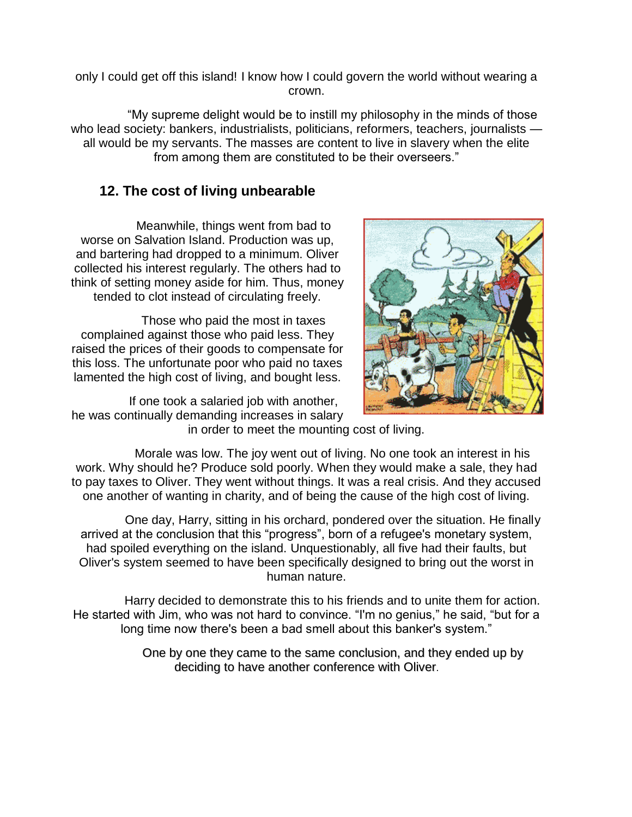only I could get off this island! I know how I could govern the world without wearing a crown.

"My supreme delight would be to instill my philosophy in the minds of those who lead society: bankers, industrialists, politicians, reformers, teachers, journalists all would be my servants. The masses are content to live in slavery when the elite from among them are constituted to be their overseers."

#### **12. The cost of living unbearable**

Meanwhile, things went from bad to worse on Salvation Island. Production was up, and bartering had dropped to a minimum. Oliver collected his interest regularly. The others had to think of setting money aside for him. Thus, money tended to clot instead of circulating freely.

Those who paid the most in taxes complained against those who paid less. They raised the prices of their goods to compensate for this loss. The unfortunate poor who paid no taxes lamented the high cost of living, and bought less.



If one took a salaried job with another, he was continually demanding increases in salary

in order to meet the mounting cost of living.

Morale was low. The joy went out of living. No one took an interest in his work. Why should he? Produce sold poorly. When they would make a sale, they had to pay taxes to Oliver. They went without things. It was a real crisis. And they accused one another of wanting in charity, and of being the cause of the high cost of living.

One day, Harry, sitting in his orchard, pondered over the situation. He finally arrived at the conclusion that this "progress", born of a refugee's monetary system, had spoiled everything on the island. Unquestionably, all five had their faults, but Oliver's system seemed to have been specifically designed to bring out the worst in human nature.

Harry decided to demonstrate this to his friends and to unite them for action. He started with Jim, who was not hard to convince. "I'm no genius," he said, "but for a long time now there's been a bad smell about this banker's system."

> One by one they came to the same conclusion, and they ended up by deciding to have another conference with Oliver.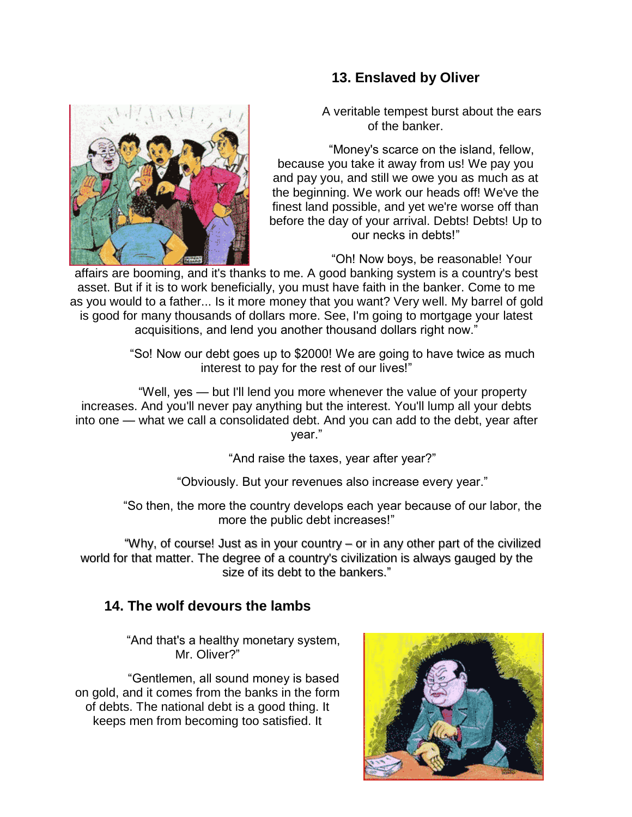# **13. Enslaved by Oliver**



A veritable tempest burst about the ears of the banker.

"Money's scarce on the island, fellow, because you take it away from us! We pay you and pay you, and still we owe you as much as at the beginning. We work our heads off! We've the finest land possible, and yet we're worse off than before the day of your arrival. Debts! Debts! Up to our necks in debts!‖

―Oh! Now boys, be reasonable! Your

affairs are booming, and it's thanks to me. A good banking system is a country's best asset. But if it is to work beneficially, you must have faith in the banker. Come to me as you would to a father... Is it more money that you want? Very well. My barrel of gold is good for many thousands of dollars more. See, I'm going to mortgage your latest acquisitions, and lend you another thousand dollars right now."

> ―So! Now our debt goes up to \$2000! We are going to have twice as much interest to pay for the rest of our lives!"

"Well, yes — but I'll lend you more whenever the value of your property increases. And you'll never pay anything but the interest. You'll lump all your debts into one — what we call a consolidated debt. And you can add to the debt, year after year."

"And raise the taxes, year after year?"

"Obviously. But your revenues also increase every year."

―So then, the more the country develops each year because of our labor, the more the public debt increases!"

―Why, of course! Just as in your country – or in any other part of the civilized world for that matter. The degree of a country's civilization is always gauged by the size of its debt to the bankers."

#### **14. The wolf devours the lambs**

"And that's a healthy monetary system, Mr. Oliver?"

―Gentlemen, all sound money is based on gold, and it comes from the banks in the form of debts. The national debt is a good thing. It keeps men from becoming too satisfied. It

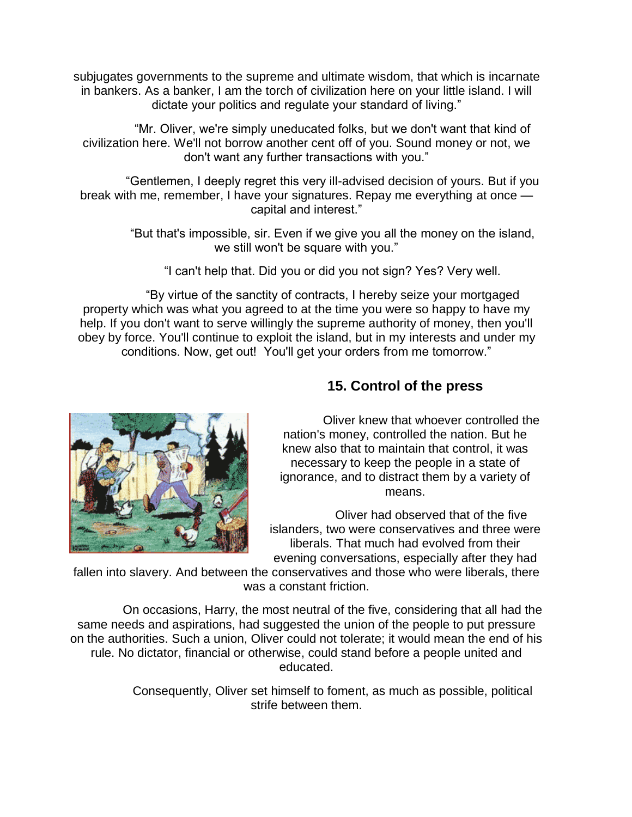subjugates governments to the supreme and ultimate wisdom, that which is incarnate in bankers. As a banker, I am the torch of civilization here on your little island. I will dictate your politics and regulate your standard of living."

"Mr. Oliver, we're simply uneducated folks, but we don't want that kind of civilization here. We'll not borrow another cent off of you. Sound money or not, we don't want any further transactions with you."

―Gentlemen, I deeply regret this very ill-advised decision of yours. But if you break with me, remember, I have your signatures. Repay me everything at once capital and interest."

> ―But that's impossible, sir. Even if we give you all the money on the island, we still won't be square with you."

"I can't help that. Did you or did you not sign? Yes? Very well.

―By virtue of the sanctity of contracts, I hereby seize your mortgaged property which was what you agreed to at the time you were so happy to have my help. If you don't want to serve willingly the supreme authority of money, then you'll obey by force. You'll continue to exploit the island, but in my interests and under my conditions. Now, get out! You'll get your orders from me tomorrow."



# **15. Control of the press**

Oliver knew that whoever controlled the nation's money, controlled the nation. But he knew also that to maintain that control, it was necessary to keep the people in a state of ignorance, and to distract them by a variety of means.

Oliver had observed that of the five islanders, two were conservatives and three were liberals. That much had evolved from their evening conversations, especially after they had

fallen into slavery. And between the conservatives and those who were liberals, there was a constant friction.

On occasions, Harry, the most neutral of the five, considering that all had the same needs and aspirations, had suggested the union of the people to put pressure on the authorities. Such a union, Oliver could not tolerate; it would mean the end of his rule. No dictator, financial or otherwise, could stand before a people united and educated.

> Consequently, Oliver set himself to foment, as much as possible, political strife between them.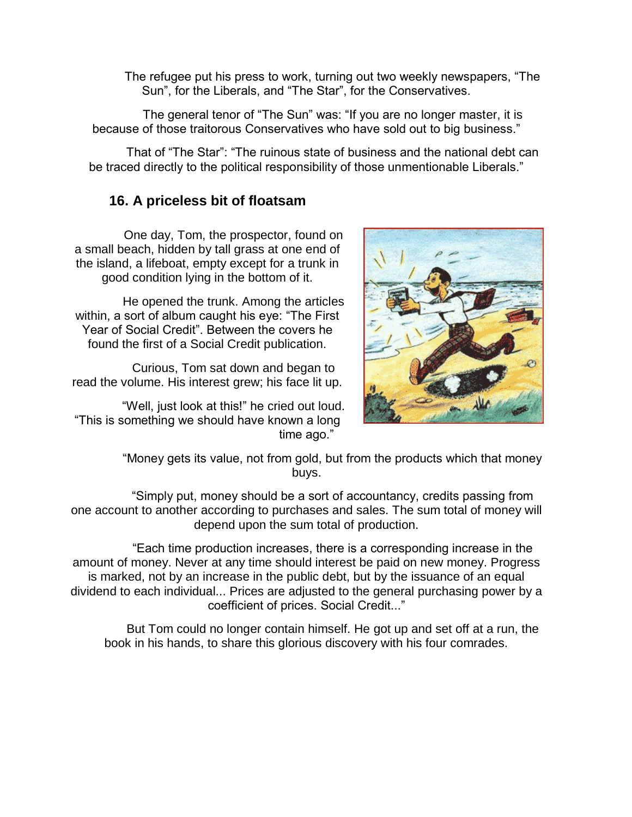The refugee put his press to work, turning out two weekly newspapers, "The Sun", for the Liberals, and "The Star", for the Conservatives.

The general tenor of "The Sun" was: "If you are no longer master, it is because of those traitorous Conservatives who have sold out to big business."

That of "The Star": "The ruinous state of business and the national debt can be traced directly to the political responsibility of those unmentionable Liberals."

#### **16. A priceless bit of floatsam**

One day, Tom, the prospector, found on a small beach, hidden by tall grass at one end of the island, a lifeboat, empty except for a trunk in good condition lying in the bottom of it.

He opened the trunk. Among the articles within, a sort of album caught his eye: "The First Year of Social Credit". Between the covers he found the first of a Social Credit publication.

Curious, Tom sat down and began to read the volume. His interest grew; his face lit up.

―Well, just look at this!‖ he cried out loud. ―This is something we should have known a long time ago."



―Money gets its value, not from gold, but from the products which that money buys.

―Simply put, money should be a sort of accountancy, credits passing from one account to another according to purchases and sales. The sum total of money will depend upon the sum total of production.

―Each time production increases, there is a corresponding increase in the amount of money. Never at any time should interest be paid on new money. Progress is marked, not by an increase in the public debt, but by the issuance of an equal dividend to each individual... Prices are adjusted to the general purchasing power by a coefficient of prices. Social Credit..."

But Tom could no longer contain himself. He got up and set off at a run, the book in his hands, to share this glorious discovery with his four comrades.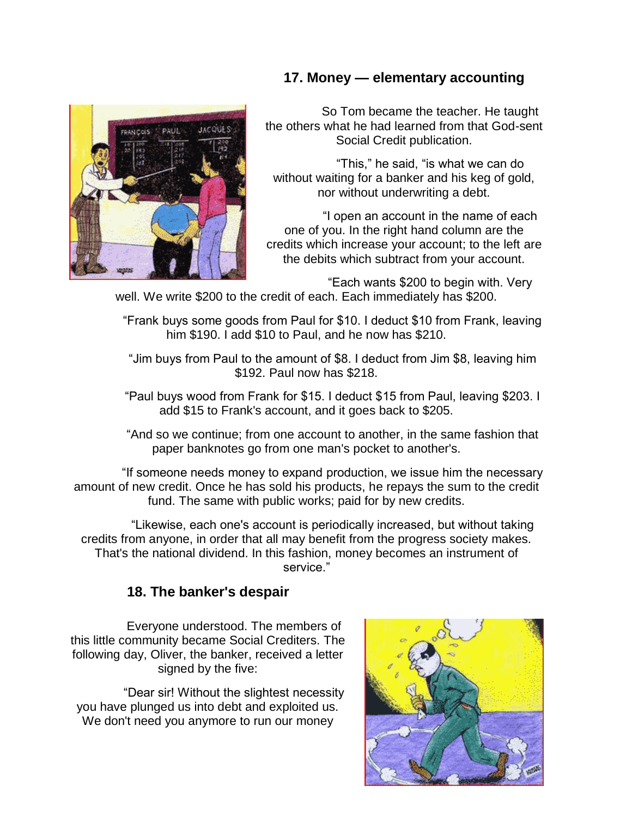#### **17. Money — elementary accounting**



So Tom became the teacher. He taught the others what he had learned from that God-sent Social Credit publication.

"This," he said, "is what we can do without waiting for a banker and his keg of gold, nor without underwriting a debt.

"I open an account in the name of each one of you. In the right hand column are the credits which increase your account; to the left are the debits which subtract from your account.

―Each wants \$200 to begin with. Very well. We write \$200 to the credit of each. Each immediately has \$200.

―Frank buys some goods from Paul for \$10. I deduct \$10 from Frank, leaving him \$190. I add \$10 to Paul, and he now has \$210.

"Jim buys from Paul to the amount of \$8. I deduct from Jim \$8, leaving him \$192. Paul now has \$218.

―Paul buys wood from Frank for \$15. I deduct \$15 from Paul, leaving \$203. I add \$15 to Frank's account, and it goes back to \$205.

"And so we continue; from one account to another, in the same fashion that paper banknotes go from one man's pocket to another's.

"If someone needs money to expand production, we issue him the necessary amount of new credit. Once he has sold his products, he repays the sum to the credit fund. The same with public works; paid for by new credits.

"Likewise, each one's account is periodically increased, but without taking credits from anyone, in order that all may benefit from the progress society makes. That's the national dividend. In this fashion, money becomes an instrument of service."

#### **18. The banker's despair**

Everyone understood. The members of this little community became Social Crediters. The following day, Oliver, the banker, received a letter signed by the five:

"Dear sir! Without the slightest necessity you have plunged us into debt and exploited us. We don't need you anymore to run our money

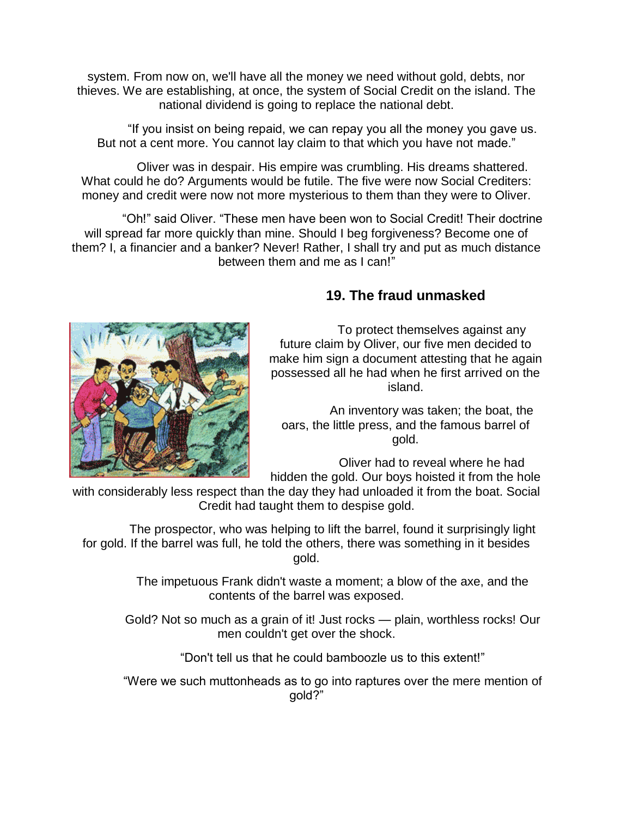system. From now on, we'll have all the money we need without gold, debts, nor thieves. We are establishing, at once, the system of Social Credit on the island. The national dividend is going to replace the national debt.

"If you insist on being repaid, we can repay you all the money you gave us. But not a cent more. You cannot lay claim to that which you have not made."

Oliver was in despair. His empire was crumbling. His dreams shattered. What could he do? Arguments would be futile. The five were now Social Crediters: money and credit were now not more mysterious to them than they were to Oliver.

―Oh!‖ said Oliver. ―These men have been won to Social Credit! Their doctrine will spread far more quickly than mine. Should I beg forgiveness? Become one of them? I, a financier and a banker? Never! Rather, I shall try and put as much distance between them and me as I can!"



# **19. The fraud unmasked**

To protect themselves against any future claim by Oliver, our five men decided to make him sign a document attesting that he again possessed all he had when he first arrived on the island.

An inventory was taken; the boat, the oars, the little press, and the famous barrel of gold.

Oliver had to reveal where he had hidden the gold. Our boys hoisted it from the hole

with considerably less respect than the day they had unloaded it from the boat. Social Credit had taught them to despise gold.

The prospector, who was helping to lift the barrel, found it surprisingly light for gold. If the barrel was full, he told the others, there was something in it besides gold.

> The impetuous Frank didn't waste a moment; a blow of the axe, and the contents of the barrel was exposed.

Gold? Not so much as a grain of it! Just rocks — plain, worthless rocks! Our men couldn't get over the shock.

"Don't tell us that he could bamboozle us to this extent!"

―Were we such muttonheads as to go into raptures over the mere mention of gold?‖